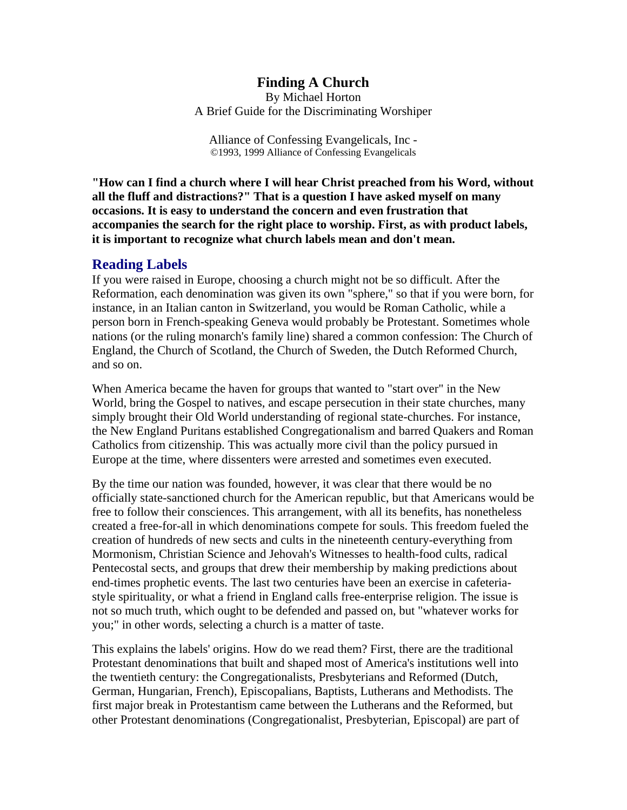### **Finding A Church**

By Michael Horton A Brief Guide for the Discriminating Worshiper

Alliance of Confessing Evangelicals, Inc - ©1993, 1999 Alliance of Confessing Evangelicals

**"How can I find a church where I will hear Christ preached from his Word, without all the fluff and distractions?" That is a question I have asked myself on many occasions. It is easy to understand the concern and even frustration that accompanies the search for the right place to worship. First, as with product labels, it is important to recognize what church labels mean and don't mean.**

#### **Reading Labels**

If you were raised in Europe, choosing a church might not be so difficult. After the Reformation, each denomination was given its own "sphere," so that if you were born, for instance, in an Italian canton in Switzerland, you would be Roman Catholic, while a person born in French-speaking Geneva would probably be Protestant. Sometimes whole nations (or the ruling monarch's family line) shared a common confession: The Church of England, the Church of Scotland, the Church of Sweden, the Dutch Reformed Church, and so on.

When America became the haven for groups that wanted to "start over" in the New World, bring the Gospel to natives, and escape persecution in their state churches, many simply brought their Old World understanding of regional state-churches. For instance, the New England Puritans established Congregationalism and barred Quakers and Roman Catholics from citizenship. This was actually more civil than the policy pursued in Europe at the time, where dissenters were arrested and sometimes even executed.

By the time our nation was founded, however, it was clear that there would be no officially state-sanctioned church for the American republic, but that Americans would be free to follow their consciences. This arrangement, with all its benefits, has nonetheless created a free-for-all in which denominations compete for souls. This freedom fueled the creation of hundreds of new sects and cults in the nineteenth century-everything from Mormonism, Christian Science and Jehovah's Witnesses to health-food cults, radical Pentecostal sects, and groups that drew their membership by making predictions about end-times prophetic events. The last two centuries have been an exercise in cafeteriastyle spirituality, or what a friend in England calls free-enterprise religion. The issue is not so much truth, which ought to be defended and passed on, but "whatever works for you;" in other words, selecting a church is a matter of taste.

This explains the labels' origins. How do we read them? First, there are the traditional Protestant denominations that built and shaped most of America's institutions well into the twentieth century: the Congregationalists, Presbyterians and Reformed (Dutch, German, Hungarian, French), Episcopalians, Baptists, Lutherans and Methodists. The first major break in Protestantism came between the Lutherans and the Reformed, but other Protestant denominations (Congregationalist, Presbyterian, Episcopal) are part of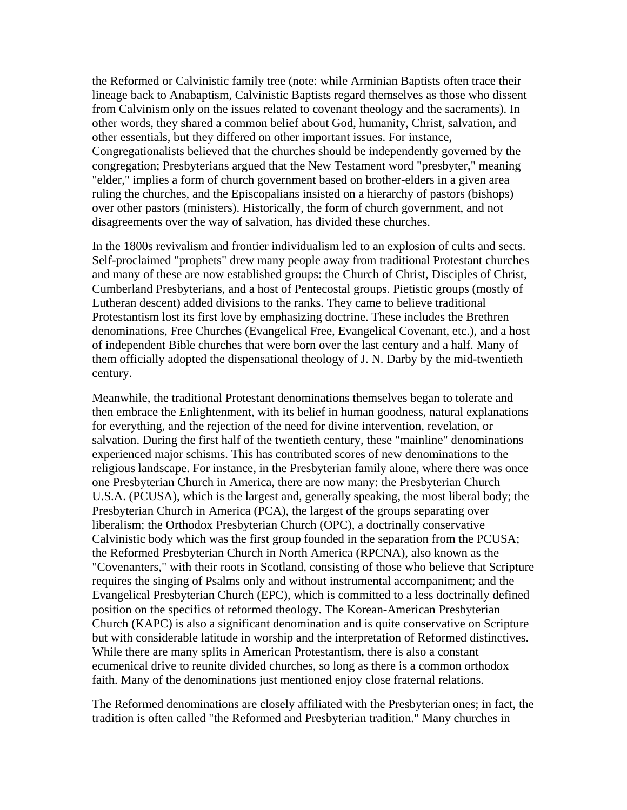the Reformed or Calvinistic family tree (note: while Arminian Baptists often trace their lineage back to Anabaptism, Calvinistic Baptists regard themselves as those who dissent from Calvinism only on the issues related to covenant theology and the sacraments). In other words, they shared a common belief about God, humanity, Christ, salvation, and other essentials, but they differed on other important issues. For instance, Congregationalists believed that the churches should be independently governed by the congregation; Presbyterians argued that the New Testament word "presbyter," meaning "elder," implies a form of church government based on brother-elders in a given area ruling the churches, and the Episcopalians insisted on a hierarchy of pastors (bishops) over other pastors (ministers). Historically, the form of church government, and not disagreements over the way of salvation, has divided these churches.

In the 1800s revivalism and frontier individualism led to an explosion of cults and sects. Self-proclaimed "prophets" drew many people away from traditional Protestant churches and many of these are now established groups: the Church of Christ, Disciples of Christ, Cumberland Presbyterians, and a host of Pentecostal groups. Pietistic groups (mostly of Lutheran descent) added divisions to the ranks. They came to believe traditional Protestantism lost its first love by emphasizing doctrine. These includes the Brethren denominations, Free Churches (Evangelical Free, Evangelical Covenant, etc.), and a host of independent Bible churches that were born over the last century and a half. Many of them officially adopted the dispensational theology of J. N. Darby by the mid-twentieth century.

Meanwhile, the traditional Protestant denominations themselves began to tolerate and then embrace the Enlightenment, with its belief in human goodness, natural explanations for everything, and the rejection of the need for divine intervention, revelation, or salvation. During the first half of the twentieth century, these "mainline" denominations experienced major schisms. This has contributed scores of new denominations to the religious landscape. For instance, in the Presbyterian family alone, where there was once one Presbyterian Church in America, there are now many: the Presbyterian Church U.S.A. (PCUSA), which is the largest and, generally speaking, the most liberal body; the Presbyterian Church in America (PCA), the largest of the groups separating over liberalism; the Orthodox Presbyterian Church (OPC), a doctrinally conservative Calvinistic body which was the first group founded in the separation from the PCUSA; the Reformed Presbyterian Church in North America (RPCNA), also known as the "Covenanters," with their roots in Scotland, consisting of those who believe that Scripture requires the singing of Psalms only and without instrumental accompaniment; and the Evangelical Presbyterian Church (EPC), which is committed to a less doctrinally defined position on the specifics of reformed theology. The Korean-American Presbyterian Church (KAPC) is also a significant denomination and is quite conservative on Scripture but with considerable latitude in worship and the interpretation of Reformed distinctives. While there are many splits in American Protestantism, there is also a constant ecumenical drive to reunite divided churches, so long as there is a common orthodox faith. Many of the denominations just mentioned enjoy close fraternal relations.

The Reformed denominations are closely affiliated with the Presbyterian ones; in fact, the tradition is often called "the Reformed and Presbyterian tradition." Many churches in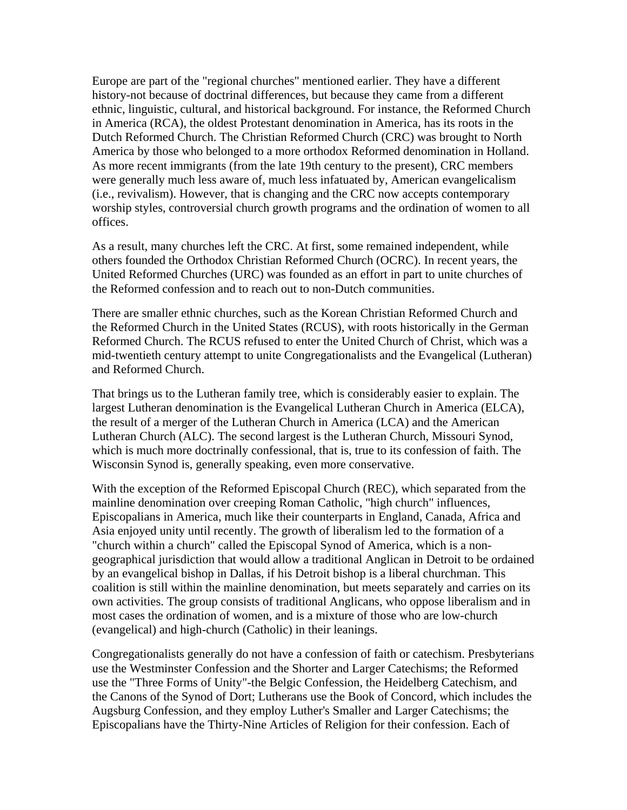Europe are part of the "regional churches" mentioned earlier. They have a different history-not because of doctrinal differences, but because they came from a different ethnic, linguistic, cultural, and historical background. For instance, the Reformed Church in America (RCA), the oldest Protestant denomination in America, has its roots in the Dutch Reformed Church. The Christian Reformed Church (CRC) was brought to North America by those who belonged to a more orthodox Reformed denomination in Holland. As more recent immigrants (from the late 19th century to the present), CRC members were generally much less aware of, much less infatuated by, American evangelicalism (i.e., revivalism). However, that is changing and the CRC now accepts contemporary worship styles, controversial church growth programs and the ordination of women to all offices.

As a result, many churches left the CRC. At first, some remained independent, while others founded the Orthodox Christian Reformed Church (OCRC). In recent years, the United Reformed Churches (URC) was founded as an effort in part to unite churches of the Reformed confession and to reach out to non-Dutch communities.

There are smaller ethnic churches, such as the Korean Christian Reformed Church and the Reformed Church in the United States (RCUS), with roots historically in the German Reformed Church. The RCUS refused to enter the United Church of Christ, which was a mid-twentieth century attempt to unite Congregationalists and the Evangelical (Lutheran) and Reformed Church.

That brings us to the Lutheran family tree, which is considerably easier to explain. The largest Lutheran denomination is the Evangelical Lutheran Church in America (ELCA), the result of a merger of the Lutheran Church in America (LCA) and the American Lutheran Church (ALC). The second largest is the Lutheran Church, Missouri Synod, which is much more doctrinally confessional, that is, true to its confession of faith. The Wisconsin Synod is, generally speaking, even more conservative.

With the exception of the Reformed Episcopal Church (REC), which separated from the mainline denomination over creeping Roman Catholic, "high church" influences, Episcopalians in America, much like their counterparts in England, Canada, Africa and Asia enjoyed unity until recently. The growth of liberalism led to the formation of a "church within a church" called the Episcopal Synod of America, which is a nongeographical jurisdiction that would allow a traditional Anglican in Detroit to be ordained by an evangelical bishop in Dallas, if his Detroit bishop is a liberal churchman. This coalition is still within the mainline denomination, but meets separately and carries on its own activities. The group consists of traditional Anglicans, who oppose liberalism and in most cases the ordination of women, and is a mixture of those who are low-church (evangelical) and high-church (Catholic) in their leanings.

Congregationalists generally do not have a confession of faith or catechism. Presbyterians use the Westminster Confession and the Shorter and Larger Catechisms; the Reformed use the "Three Forms of Unity"-the Belgic Confession, the Heidelberg Catechism, and the Canons of the Synod of Dort; Lutherans use the Book of Concord, which includes the Augsburg Confession, and they employ Luther's Smaller and Larger Catechisms; the Episcopalians have the Thirty-Nine Articles of Religion for their confession. Each of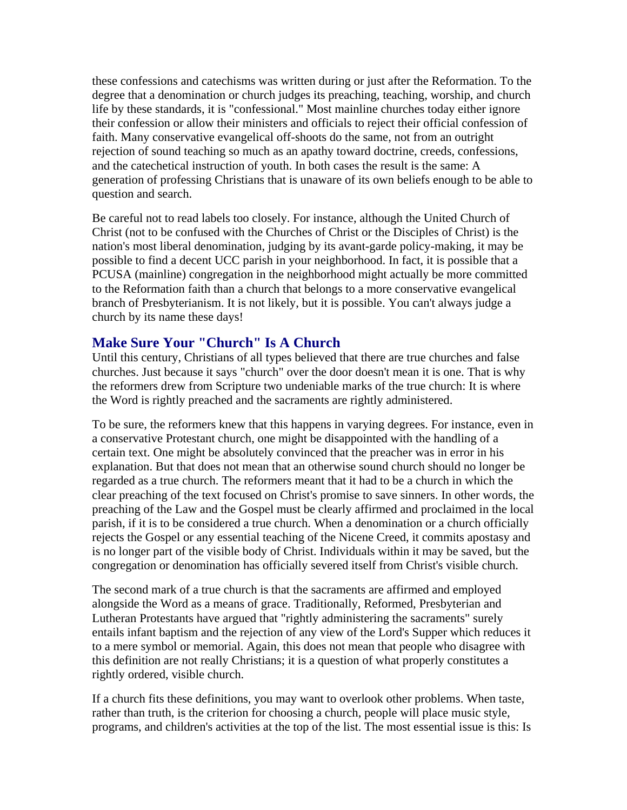these confessions and catechisms was written during or just after the Reformation. To the degree that a denomination or church judges its preaching, teaching, worship, and church life by these standards, it is "confessional." Most mainline churches today either ignore their confession or allow their ministers and officials to reject their official confession of faith. Many conservative evangelical off-shoots do the same, not from an outright rejection of sound teaching so much as an apathy toward doctrine, creeds, confessions, and the catechetical instruction of youth. In both cases the result is the same: A generation of professing Christians that is unaware of its own beliefs enough to be able to question and search.

Be careful not to read labels too closely. For instance, although the United Church of Christ (not to be confused with the Churches of Christ or the Disciples of Christ) is the nation's most liberal denomination, judging by its avant-garde policy-making, it may be possible to find a decent UCC parish in your neighborhood. In fact, it is possible that a PCUSA (mainline) congregation in the neighborhood might actually be more committed to the Reformation faith than a church that belongs to a more conservative evangelical branch of Presbyterianism. It is not likely, but it is possible. You can't always judge a church by its name these days!

# **Make Sure Your "Church" Is A Church**

Until this century, Christians of all types believed that there are true churches and false churches. Just because it says "church" over the door doesn't mean it is one. That is why the reformers drew from Scripture two undeniable marks of the true church: It is where the Word is rightly preached and the sacraments are rightly administered.

To be sure, the reformers knew that this happens in varying degrees. For instance, even in a conservative Protestant church, one might be disappointed with the handling of a certain text. One might be absolutely convinced that the preacher was in error in his explanation. But that does not mean that an otherwise sound church should no longer be regarded as a true church. The reformers meant that it had to be a church in which the clear preaching of the text focused on Christ's promise to save sinners. In other words, the preaching of the Law and the Gospel must be clearly affirmed and proclaimed in the local parish, if it is to be considered a true church. When a denomination or a church officially rejects the Gospel or any essential teaching of the Nicene Creed, it commits apostasy and is no longer part of the visible body of Christ. Individuals within it may be saved, but the congregation or denomination has officially severed itself from Christ's visible church.

The second mark of a true church is that the sacraments are affirmed and employed alongside the Word as a means of grace. Traditionally, Reformed, Presbyterian and Lutheran Protestants have argued that "rightly administering the sacraments" surely entails infant baptism and the rejection of any view of the Lord's Supper which reduces it to a mere symbol or memorial. Again, this does not mean that people who disagree with this definition are not really Christians; it is a question of what properly constitutes a rightly ordered, visible church.

If a church fits these definitions, you may want to overlook other problems. When taste, rather than truth, is the criterion for choosing a church, people will place music style, programs, and children's activities at the top of the list. The most essential issue is this: Is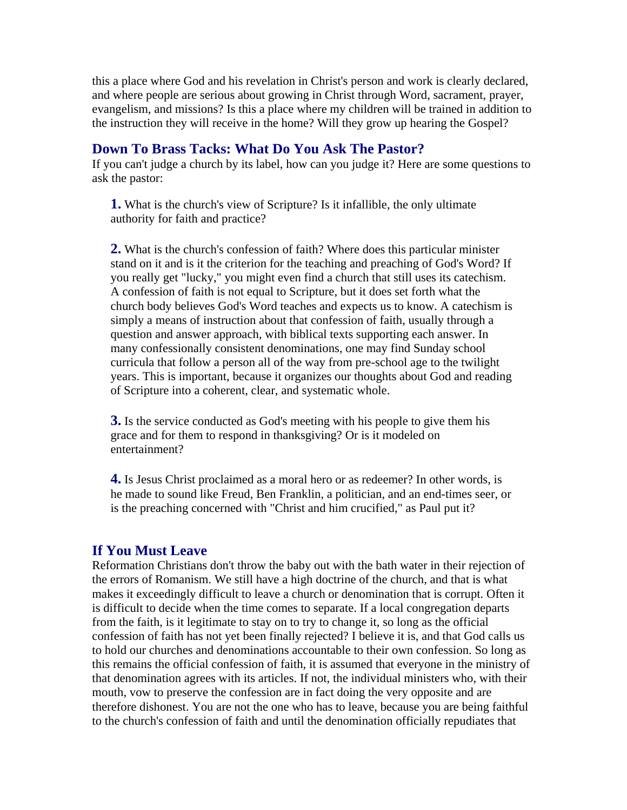this a place where God and his revelation in Christ's person and work is clearly declared, and where people are serious about growing in Christ through Word, sacrament, prayer, evangelism, and missions? Is this a place where my children will be trained in addition to the instruction they will receive in the home? Will they grow up hearing the Gospel?

#### **Down To Brass Tacks: What Do You Ask The Pastor?**

If you can't judge a church by its label, how can you judge it? Here are some questions to ask the pastor:

**1.** What is the church's view of Scripture? Is it infallible, the only ultimate authority for faith and practice?

**2.** What is the church's confession of faith? Where does this particular minister stand on it and is it the criterion for the teaching and preaching of God's Word? If you really get "lucky," you might even find a church that still uses its catechism. A confession of faith is not equal to Scripture, but it does set forth what the church body believes God's Word teaches and expects us to know. A catechism is simply a means of instruction about that confession of faith, usually through a question and answer approach, with biblical texts supporting each answer. In many confessionally consistent denominations, one may find Sunday school curricula that follow a person all of the way from pre-school age to the twilight years. This is important, because it organizes our thoughts about God and reading of Scripture into a coherent, clear, and systematic whole.

**3.** Is the service conducted as God's meeting with his people to give them his grace and for them to respond in thanksgiving? Or is it modeled on entertainment?

**4.** Is Jesus Christ proclaimed as a moral hero or as redeemer? In other words, is he made to sound like Freud, Ben Franklin, a politician, and an end-times seer, or is the preaching concerned with "Christ and him crucified," as Paul put it?

#### **If You Must Leave**

Reformation Christians don't throw the baby out with the bath water in their rejection of the errors of Romanism. We still have a high doctrine of the church, and that is what makes it exceedingly difficult to leave a church or denomination that is corrupt. Often it is difficult to decide when the time comes to separate. If a local congregation departs from the faith, is it legitimate to stay on to try to change it, so long as the official confession of faith has not yet been finally rejected? I believe it is, and that God calls us to hold our churches and denominations accountable to their own confession. So long as this remains the official confession of faith, it is assumed that everyone in the ministry of that denomination agrees with its articles. If not, the individual ministers who, with their mouth, vow to preserve the confession are in fact doing the very opposite and are therefore dishonest. You are not the one who has to leave, because you are being faithful to the church's confession of faith and until the denomination officially repudiates that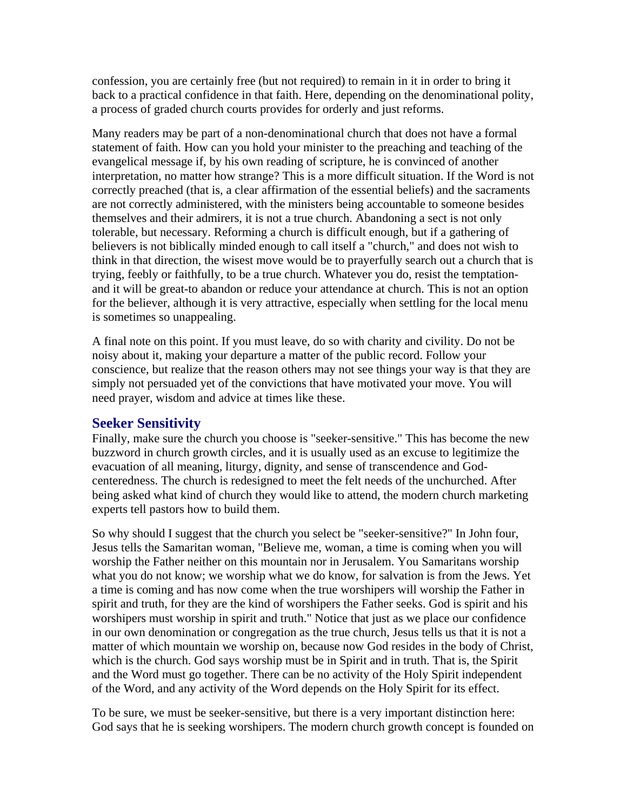confession, you are certainly free (but not required) to remain in it in order to bring it back to a practical confidence in that faith. Here, depending on the denominational polity, a process of graded church courts provides for orderly and just reforms.

Many readers may be part of a non-denominational church that does not have a formal statement of faith. How can you hold your minister to the preaching and teaching of the evangelical message if, by his own reading of scripture, he is convinced of another interpretation, no matter how strange? This is a more difficult situation. If the Word is not correctly preached (that is, a clear affirmation of the essential beliefs) and the sacraments are not correctly administered, with the ministers being accountable to someone besides themselves and their admirers, it is not a true church. Abandoning a sect is not only tolerable, but necessary. Reforming a church is difficult enough, but if a gathering of believers is not biblically minded enough to call itself a "church," and does not wish to think in that direction, the wisest move would be to prayerfully search out a church that is trying, feebly or faithfully, to be a true church. Whatever you do, resist the temptationand it will be great-to abandon or reduce your attendance at church. This is not an option for the believer, although it is very attractive, especially when settling for the local menu is sometimes so unappealing.

A final note on this point. If you must leave, do so with charity and civility. Do not be noisy about it, making your departure a matter of the public record. Follow your conscience, but realize that the reason others may not see things your way is that they are simply not persuaded yet of the convictions that have motivated your move. You will need prayer, wisdom and advice at times like these.

## **Seeker Sensitivity**

Finally, make sure the church you choose is "seeker-sensitive." This has become the new buzzword in church growth circles, and it is usually used as an excuse to legitimize the evacuation of all meaning, liturgy, dignity, and sense of transcendence and Godcenteredness. The church is redesigned to meet the felt needs of the unchurched. After being asked what kind of church they would like to attend, the modern church marketing experts tell pastors how to build them.

So why should I suggest that the church you select be "seeker-sensitive?" In John four, Jesus tells the Samaritan woman, "Believe me, woman, a time is coming when you will worship the Father neither on this mountain nor in Jerusalem. You Samaritans worship what you do not know; we worship what we do know, for salvation is from the Jews. Yet a time is coming and has now come when the true worshipers will worship the Father in spirit and truth, for they are the kind of worshipers the Father seeks. God is spirit and his worshipers must worship in spirit and truth." Notice that just as we place our confidence in our own denomination or congregation as the true church, Jesus tells us that it is not a matter of which mountain we worship on, because now God resides in the body of Christ, which is the church. God says worship must be in Spirit and in truth. That is, the Spirit and the Word must go together. There can be no activity of the Holy Spirit independent of the Word, and any activity of the Word depends on the Holy Spirit for its effect.

To be sure, we must be seeker-sensitive, but there is a very important distinction here: God says that he is seeking worshipers. The modern church growth concept is founded on